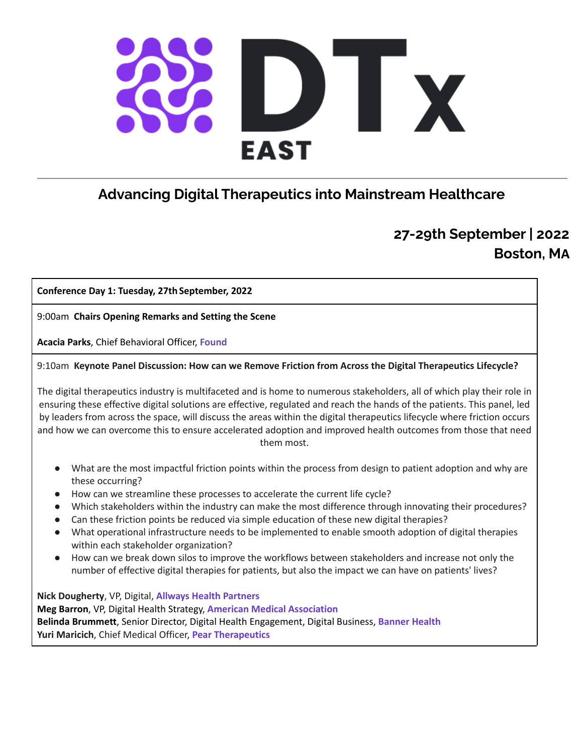# $\mathcal{L}$ **EAST**

# **Advancing Digital Therapeutics into Mainstream Healthcare**

## **27-29th September | 2022 Boston, MA**

#### **Conference Day 1: Tuesday, 27th September, 2022**

9:00am **Chairs Opening Remarks and Setting the Scene**

**Acacia Parks**, Chief Behavioral Officer, **Found**

9:10am **Keynote Panel Discussion: How can we Remove Friction from Across the Digital Therapeutics Lifecycle?**

The digital therapeutics industry is multifaceted and is home to numerous stakeholders, all of which play their role in ensuring these effective digital solutions are effective, regulated and reach the hands of the patients. This panel, led by leaders from across the space, will discuss the areas within the digital therapeutics lifecycle where friction occurs and how we can overcome this to ensure accelerated adoption and improved health outcomes from those that need them most.

- What are the most impactful friction points within the process from design to patient adoption and why are these occurring?
- How can we streamline these processes to accelerate the current life cycle?
- Which stakeholders within the industry can make the most difference through innovating their procedures?
- Can these friction points be reduced via simple education of these new digital therapies?
- What operational infrastructure needs to be implemented to enable smooth adoption of digital therapies within each stakeholder organization?
- How can we break down silos to improve the workflows between stakeholders and increase not only the number of effective digital therapies for patients, but also the impact we can have on patients' lives?

**Nick Dougherty**, VP, Digital, **Allways Health Partners Meg Barron**, VP, Digital Health Strategy, **American Medical Association Belinda Brummett**, Senior Director, Digital Health Engagement, Digital Business, **Banner Health Yuri Maricich**, Chief Medical Officer, **Pear Therapeutics**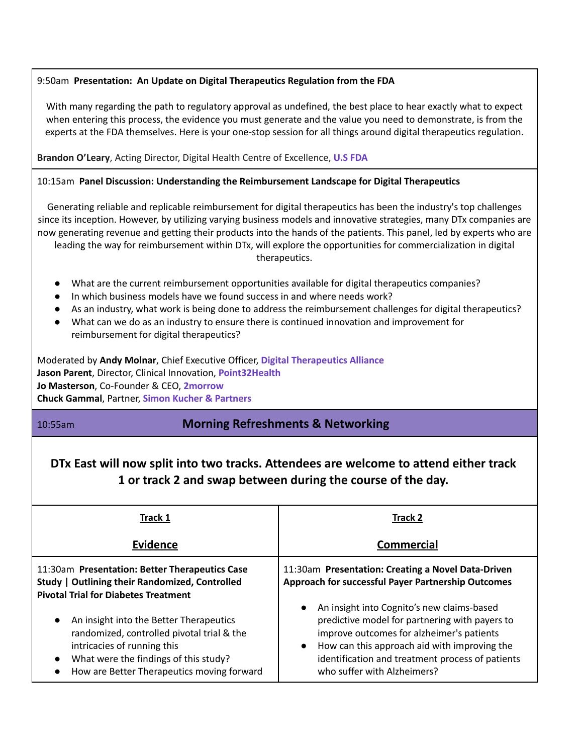#### 9:50am **Presentation: An Update on Digital Therapeutics Regulation from the FDA**

With many regarding the path to regulatory approval as undefined, the best place to hear exactly what to expect when entering this process, the evidence you must generate and the value you need to demonstrate, is from the experts at the FDA themselves. Here is your one-stop session for all things around digital therapeutics regulation.

**Brandon O'Leary**, Acting Director, Digital Health Centre of Excellence, **U.S FDA**

#### 10:15am **Panel Discussion: Understanding the Reimbursement Landscape for Digital Therapeutics**

Generating reliable and replicable reimbursement for digital therapeutics has been the industry's top challenges since its inception. However, by utilizing varying business models and innovative strategies, many DTx companies are now generating revenue and getting their products into the hands of the patients. This panel, led by experts who are leading the way for reimbursement within DTx, will explore the opportunities for commercialization in digital therapeutics.

- What are the current reimbursement opportunities available for digital therapeutics companies?
- In which business models have we found success in and where needs work?
- As an industry, what work is being done to address the reimbursement challenges for digital therapeutics?
- What can we do as an industry to ensure there is continued innovation and improvement for reimbursement for digital therapeutics?

Moderated by **Andy Molnar**, Chief Executive Officer, **Digital Therapeutics Alliance Jason Parent**, Director, Clinical Innovation, **Point32Health Jo Masterson**, Co-Founder & CEO, **2morrow Chuck Gammal**, Partner, **Simon Kucher & Partners**

## 10:55am **Morning Refreshments & Networking**

## **DTx East will now split into two tracks. Attendees are welcome to attend either track 1 or track 2 and swap between during the course of the day.**

| <b>Track 1</b>                                                                                                                                                                                                                        | <b>Track 2</b>                                                                                                                                                                                                                                                               |
|---------------------------------------------------------------------------------------------------------------------------------------------------------------------------------------------------------------------------------------|------------------------------------------------------------------------------------------------------------------------------------------------------------------------------------------------------------------------------------------------------------------------------|
| <b>Evidence</b>                                                                                                                                                                                                                       | <b>Commercial</b>                                                                                                                                                                                                                                                            |
| 11:30am Presentation: Better Therapeutics Case<br>Study   Outlining their Randomized, Controlled<br><b>Pivotal Trial for Diabetes Treatment</b>                                                                                       | 11:30am Presentation: Creating a Novel Data-Driven<br>Approach for successful Payer Partnership Outcomes                                                                                                                                                                     |
| An insight into the Better Therapeutics<br>$\bullet$<br>randomized, controlled pivotal trial & the<br>intricacies of running this<br>What were the findings of this study?<br>$\bullet$<br>How are Better Therapeutics moving forward | An insight into Cognito's new claims-based<br>predictive model for partnering with payers to<br>improve outcomes for alzheimer's patients<br>How can this approach aid with improving the<br>identification and treatment process of patients<br>who suffer with Alzheimers? |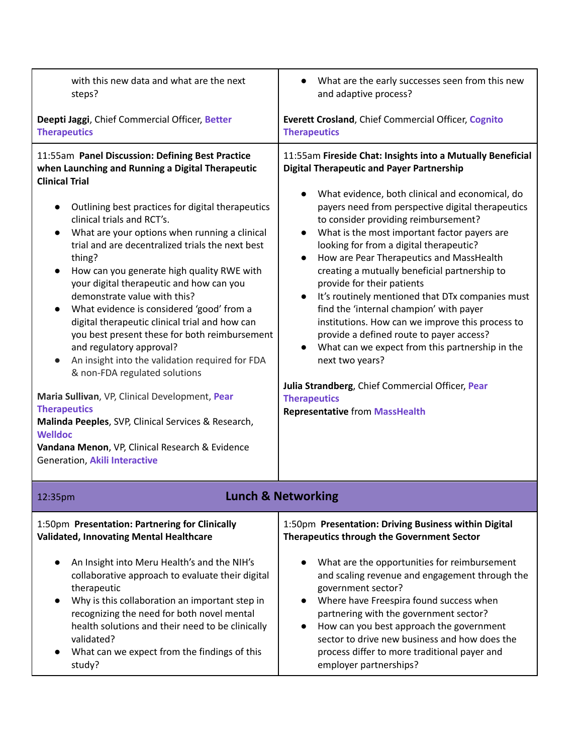| with this new data and what are the next<br>steps?                                                                                                                                                                                                                                                                                                                                                                                                                                                                                                                                                                                                                                                                                                                                                                                                                                                                                                                                                                  | What are the early successes seen from this new<br>and adaptive process?                                                                                                                                                                                                                                                                                                                                                                                                                                                                                                                                                                                                                                                                                                                                                                                                                                |
|---------------------------------------------------------------------------------------------------------------------------------------------------------------------------------------------------------------------------------------------------------------------------------------------------------------------------------------------------------------------------------------------------------------------------------------------------------------------------------------------------------------------------------------------------------------------------------------------------------------------------------------------------------------------------------------------------------------------------------------------------------------------------------------------------------------------------------------------------------------------------------------------------------------------------------------------------------------------------------------------------------------------|---------------------------------------------------------------------------------------------------------------------------------------------------------------------------------------------------------------------------------------------------------------------------------------------------------------------------------------------------------------------------------------------------------------------------------------------------------------------------------------------------------------------------------------------------------------------------------------------------------------------------------------------------------------------------------------------------------------------------------------------------------------------------------------------------------------------------------------------------------------------------------------------------------|
| Deepti Jaggi, Chief Commercial Officer, Better<br><b>Therapeutics</b>                                                                                                                                                                                                                                                                                                                                                                                                                                                                                                                                                                                                                                                                                                                                                                                                                                                                                                                                               | Everett Crosland, Chief Commercial Officer, Cognito<br><b>Therapeutics</b>                                                                                                                                                                                                                                                                                                                                                                                                                                                                                                                                                                                                                                                                                                                                                                                                                              |
| 11:55am Panel Discussion: Defining Best Practice<br>when Launching and Running a Digital Therapeutic<br><b>Clinical Trial</b><br>Outlining best practices for digital therapeutics<br>clinical trials and RCT's.<br>What are your options when running a clinical<br>$\bullet$<br>trial and are decentralized trials the next best<br>thing?<br>How can you generate high quality RWE with<br>$\bullet$<br>your digital therapeutic and how can you<br>demonstrate value with this?<br>What evidence is considered 'good' from a<br>$\bullet$<br>digital therapeutic clinical trial and how can<br>you best present these for both reimbursement<br>and regulatory approval?<br>An insight into the validation required for FDA<br>$\bullet$<br>& non-FDA regulated solutions<br>Maria Sullivan, VP, Clinical Development, Pear<br><b>Therapeutics</b><br>Malinda Peeples, SVP, Clinical Services & Research,<br><b>Welldoc</b><br>Vandana Menon, VP, Clinical Research & Evidence<br>Generation, Akili Interactive | 11:55am Fireside Chat: Insights into a Mutually Beneficial<br><b>Digital Therapeutic and Payer Partnership</b><br>What evidence, both clinical and economical, do<br>payers need from perspective digital therapeutics<br>to consider providing reimbursement?<br>What is the most important factor payers are<br>looking for from a digital therapeutic?<br>How are Pear Therapeutics and MassHealth<br>$\bullet$<br>creating a mutually beneficial partnership to<br>provide for their patients<br>It's routinely mentioned that DTx companies must<br>$\bullet$<br>find the 'internal champion' with payer<br>institutions. How can we improve this process to<br>provide a defined route to payer access?<br>What can we expect from this partnership in the<br>next two years?<br>Julia Strandberg, Chief Commercial Officer, Pear<br><b>Therapeutics</b><br><b>Representative from MassHealth</b> |
| 12:35pm                                                                                                                                                                                                                                                                                                                                                                                                                                                                                                                                                                                                                                                                                                                                                                                                                                                                                                                                                                                                             | <b>Lunch &amp; Networking</b>                                                                                                                                                                                                                                                                                                                                                                                                                                                                                                                                                                                                                                                                                                                                                                                                                                                                           |
| 1:50pm Presentation: Partnering for Clinically<br><b>Validated, Innovating Mental Healthcare</b><br>An Insight into Meru Health's and the NIH's<br>collaborative approach to evaluate their digital<br>therapeutic<br>Why is this collaboration an important step in<br>recognizing the need for both novel mental<br>health solutions and their need to be clinically<br>validated?<br>What can we expect from the findings of this<br>$\bullet$<br>study?                                                                                                                                                                                                                                                                                                                                                                                                                                                                                                                                                         | 1:50pm Presentation: Driving Business within Digital<br>Therapeutics through the Government Sector<br>What are the opportunities for reimbursement<br>and scaling revenue and engagement through the<br>government sector?<br>Where have Freespira found success when<br>partnering with the government sector?<br>How can you best approach the government<br>sector to drive new business and how does the<br>process differ to more traditional payer and<br>employer partnerships?                                                                                                                                                                                                                                                                                                                                                                                                                  |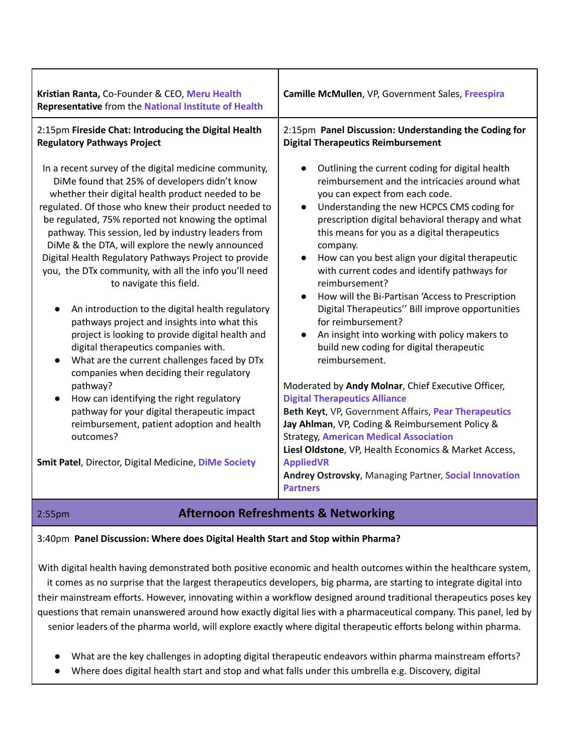| Kristian Ranta, Co-Founder & CEO, Meru Health<br>Representative from the National Institute of Health                                                                                                                                                                                                                                                                                                                                                                                                                                                                                                                                                                                                                                                                                                                                                                                                                                                                                                                                                                             | Camille McMullen, VP, Government Sales, Freespira                                                                                                                                                                                                                                                                                                                                                                                                                                                                                                                                                                                                                                                                                                                                                                                                                                                                                                                                                                                                                                     |
|-----------------------------------------------------------------------------------------------------------------------------------------------------------------------------------------------------------------------------------------------------------------------------------------------------------------------------------------------------------------------------------------------------------------------------------------------------------------------------------------------------------------------------------------------------------------------------------------------------------------------------------------------------------------------------------------------------------------------------------------------------------------------------------------------------------------------------------------------------------------------------------------------------------------------------------------------------------------------------------------------------------------------------------------------------------------------------------|---------------------------------------------------------------------------------------------------------------------------------------------------------------------------------------------------------------------------------------------------------------------------------------------------------------------------------------------------------------------------------------------------------------------------------------------------------------------------------------------------------------------------------------------------------------------------------------------------------------------------------------------------------------------------------------------------------------------------------------------------------------------------------------------------------------------------------------------------------------------------------------------------------------------------------------------------------------------------------------------------------------------------------------------------------------------------------------|
| 2:15pm Fireside Chat: Introducing the Digital Health<br><b>Regulatory Pathways Project</b>                                                                                                                                                                                                                                                                                                                                                                                                                                                                                                                                                                                                                                                                                                                                                                                                                                                                                                                                                                                        | 2:15pm Panel Discussion: Understanding the Coding for<br><b>Digital Therapeutics Reimbursement</b>                                                                                                                                                                                                                                                                                                                                                                                                                                                                                                                                                                                                                                                                                                                                                                                                                                                                                                                                                                                    |
| In a recent survey of the digital medicine community,<br>DiMe found that 25% of developers didn't know<br>whether their digital health product needed to be<br>regulated. Of those who knew their product needed to<br>be regulated, 75% reported not knowing the optimal<br>pathway. This session, led by industry leaders from<br>DiMe & the DTA, will explore the newly announced<br>Digital Health Regulatory Pathways Project to provide<br>you, the DTx community, with all the info you'll need<br>to navigate this field.<br>An introduction to the digital health regulatory<br>$\bullet$<br>pathways project and insights into what this<br>project is looking to provide digital health and<br>digital therapeutics companies with.<br>What are the current challenges faced by DTx<br>$\bullet$<br>companies when deciding their regulatory<br>pathway?<br>How can identifying the right regulatory<br>pathway for your digital therapeutic impact<br>reimbursement, patient adoption and health<br>outcomes?<br>Smit Patel, Director, Digital Medicine, DiMe Society | Outlining the current coding for digital health<br>reimbursement and the intricacies around what<br>you can expect from each code.<br>Understanding the new HCPCS CMS coding for<br>prescription digital behavioral therapy and what<br>this means for you as a digital therapeutics<br>company.<br>How can you best align your digital therapeutic<br>with current codes and identify pathways for<br>reimbursement?<br>How will the Bi-Partisan 'Access to Prescription<br>Digital Therapeutics" Bill improve opportunities<br>for reimbursement?<br>An insight into working with policy makers to<br>build new coding for digital therapeutic<br>reimbursement.<br>Moderated by Andy Molnar, Chief Executive Officer,<br><b>Digital Therapeutics Alliance</b><br>Beth Keyt, VP, Government Affairs, Pear Therapeutics<br>Jay Ahlman, VP, Coding & Reimbursement Policy &<br><b>Strategy, American Medical Association</b><br>Liesl Oldstone, VP, Health Economics & Market Access,<br><b>AppliedVR</b><br>Andrey Ostrovsky, Managing Partner, Social Innovation<br><b>Partners</b> |
|                                                                                                                                                                                                                                                                                                                                                                                                                                                                                                                                                                                                                                                                                                                                                                                                                                                                                                                                                                                                                                                                                   |                                                                                                                                                                                                                                                                                                                                                                                                                                                                                                                                                                                                                                                                                                                                                                                                                                                                                                                                                                                                                                                                                       |

#### 2:55pm **Afternoon Refreshments & Networking**

#### 3:40pm **Panel Discussion: Where does Digital Health Start and Stop within Pharma?**

With digital health having demonstrated both positive economic and health outcomes within the healthcare system,

it comes as no surprise that the largest therapeutics developers, big pharma, are starting to integrate digital into their mainstream efforts. However, innovating within a workflow designed around traditional therapeutics poses key questions that remain unanswered around how exactly digital lies with a pharmaceutical company. This panel, led by senior leaders of the pharma world, will explore exactly where digital therapeutic efforts belong within pharma.

- What are the key challenges in adopting digital therapeutic endeavors within pharma mainstream efforts?
- Where does digital health start and stop and what falls under this umbrella e.g. Discovery, digital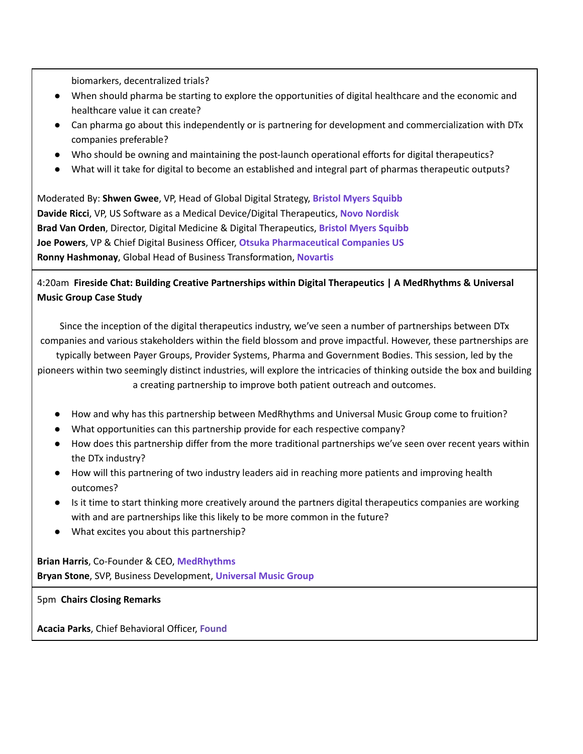biomarkers, decentralized trials?

- When should pharma be starting to explore the opportunities of digital healthcare and the economic and healthcare value it can create?
- Can pharma go about this independently or is partnering for development and commercialization with DTx companies preferable?
- Who should be owning and maintaining the post-launch operational efforts for digital therapeutics?
- What will it take for digital to become an established and integral part of pharmas therapeutic outputs?

Moderated By: **Shwen Gwee**, VP, Head of Global Digital Strategy, **Bristol Myers Squibb Davide Ricci**, VP, US Software as a Medical Device/Digital Therapeutics, **Novo Nordisk Brad Van Orden**, Director, Digital Medicine & Digital Therapeutics, **Bristol Myers Squibb Joe Powers**, VP & Chief Digital Business Officer, **Otsuka Pharmaceutical Companies US Ronny Hashmonay**, Global Head of Business Transformation, **Novartis**

4:20am **Fireside Chat: Building Creative Partnerships within Digital Therapeutics | A MedRhythms & Universal Music Group Case Study**

Since the inception of the digital therapeutics industry, we've seen a number of partnerships between DTx companies and various stakeholders within the field blossom and prove impactful. However, these partnerships are

typically between Payer Groups, Provider Systems, Pharma and Government Bodies. This session, led by the pioneers within two seemingly distinct industries, will explore the intricacies of thinking outside the box and building a creating partnership to improve both patient outreach and outcomes.

- How and why has this partnership between MedRhythms and Universal Music Group come to fruition?
- What opportunities can this partnership provide for each respective company?
- How does this partnership differ from the more traditional partnerships we've seen over recent years within the DTx industry?
- How will this partnering of two industry leaders aid in reaching more patients and improving health outcomes?
- Is it time to start thinking more creatively around the partners digital therapeutics companies are working with and are partnerships like this likely to be more common in the future?
- What excites you about this partnership?

**Brian Harris**, Co-Founder & CEO, **MedRhythms Bryan Stone**, SVP, Business Development, **Universal Music Group**

5pm **Chairs Closing Remarks**

**Acacia Parks**, Chief Behavioral Officer, **Found**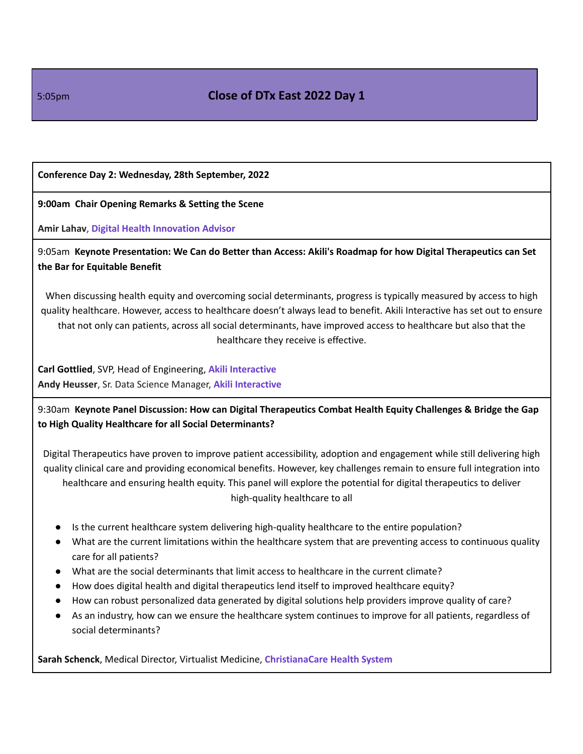#### 5:05pm **Close of DTx East 2022 Day 1**

#### **Conference Day 2: Wednesday, 28th September, 2022**

**9:00am Chair Opening Remarks & Setting the Scene**

**Amir Lahav**, **Digital Health Innovation Advisor**

9:05am **Keynote Presentation: We Can do Better than Access: Akili's Roadmap for how Digital Therapeutics can Set the Bar for Equitable Benefit**

When discussing health equity and overcoming social determinants, progress is typically measured by access to high quality healthcare. However, access to healthcare doesn't always lead to benefit. Akili Interactive has set out to ensure that not only can patients, across all social determinants, have improved access to healthcare but also that the healthcare they receive is effective.

**Carl Gottlied**, SVP, Head of Engineering, **Akili Interactive Andy Heusser**, Sr. Data Science Manager, **Akili Interactive**

9:30am **Keynote Panel Discussion: How can Digital Therapeutics Combat Health Equity Challenges & Bridge the Gap to High Quality Healthcare for all Social Determinants?**

Digital Therapeutics have proven to improve patient accessibility, adoption and engagement while still delivering high quality clinical care and providing economical benefits. However, key challenges remain to ensure full integration into healthcare and ensuring health equity. This panel will explore the potential for digital therapeutics to deliver high-quality healthcare to all

- Is the current healthcare system delivering high-quality healthcare to the entire population?
- What are the current limitations within the healthcare system that are preventing access to continuous quality care for all patients?
- What are the social determinants that limit access to healthcare in the current climate?
- How does digital health and digital therapeutics lend itself to improved healthcare equity?
- How can robust personalized data generated by digital solutions help providers improve quality of care?
- As an industry, how can we ensure the healthcare system continues to improve for all patients, regardless of social determinants?

**Sarah Schenck**, Medical Director, Virtualist Medicine, **ChristianaCare Health System**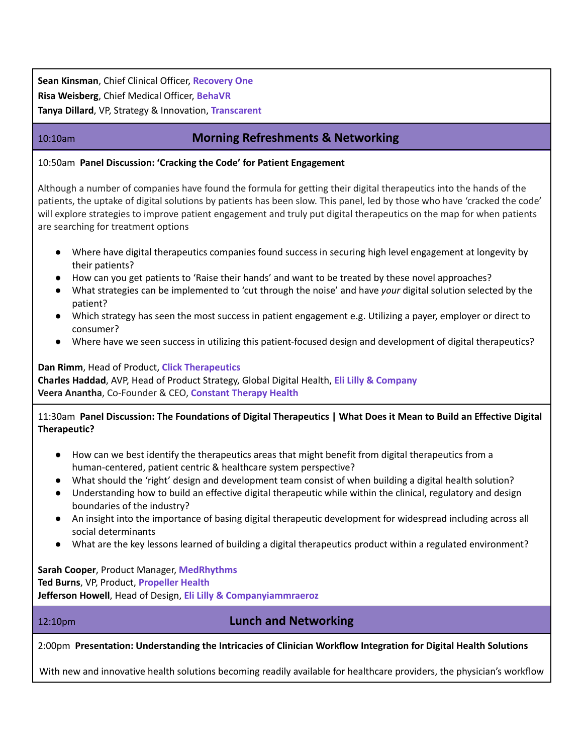**Sean Kinsman**, Chief Clinical Officer, **Recovery One Risa Weisberg**, Chief Medical Officer, **BehaVR Tanya Dillard**, VP, Strategy & Innovation, **Transcarent**

### 10:10am **Morning Refreshments & Networking**

10:50am **Panel Discussion: 'Cracking the Code' for Patient Engagement**

Although a number of companies have found the formula for getting their digital therapeutics into the hands of the patients, the uptake of digital solutions by patients has been slow. This panel, led by those who have 'cracked the code' will explore strategies to improve patient engagement and truly put digital therapeutics on the map for when patients are searching for treatment options

- Where have digital therapeutics companies found success in securing high level engagement at longevity by their patients?
- How can you get patients to 'Raise their hands' and want to be treated by these novel approaches?
- What strategies can be implemented to 'cut through the noise' and have *your* digital solution selected by the patient?
- Which strategy has seen the most success in patient engagement e.g. Utilizing a payer, employer or direct to consumer?
- Where have we seen success in utilizing this patient-focused design and development of digital therapeutics?

#### **Dan Rimm**, Head of Product, **Click Therapeutics Charles Haddad**, AVP, Head of Product Strategy, Global Digital Health, **Eli Lilly & Company Veera Anantha**, Co-Founder & CEO, **Constant Therapy Health**

11:30am Panel Discussion: The Foundations of Digital Therapeutics | What Does it Mean to Build an Effective Digital **Therapeutic?**

- How can we best identify the therapeutics areas that might benefit from digital therapeutics from a human-centered, patient centric & healthcare system perspective?
- What should the 'right' design and development team consist of when building a digital health solution?
- Understanding how to build an effective digital therapeutic while within the clinical, regulatory and design boundaries of the industry?
- An insight into the importance of basing digital therapeutic development for widespread including across all social determinants
- What are the key lessons learned of building a digital therapeutics product within a regulated environment?

**Sarah Cooper**, Product Manager, **MedRhythms Ted Burns**, VP, Product, **Propeller Health Jefferson Howell**, Head of Design, **Eli Lilly & Companyiammraeroz**

#### 12:10pm **Lunch and Networking**

2:00pm **Presentation: Understanding the Intricacies of Clinician Workflow Integration for Digital Health Solutions**

With new and innovative health solutions becoming readily available for healthcare providers, the physician's workflow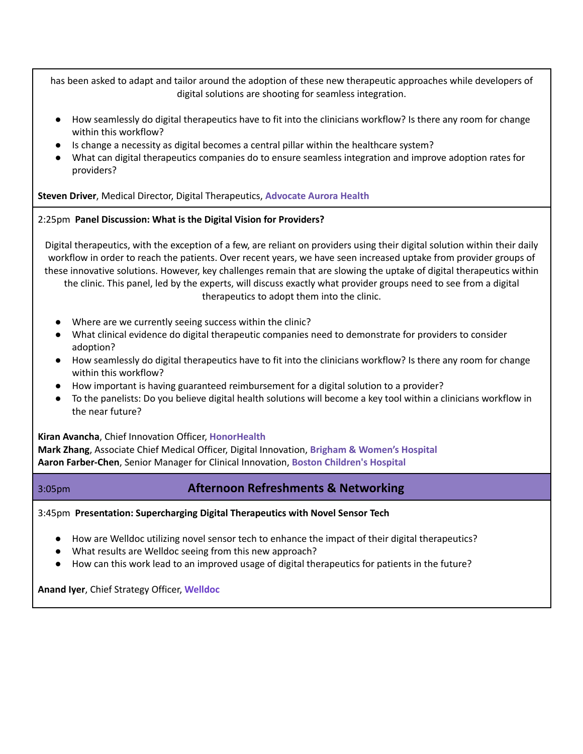has been asked to adapt and tailor around the adoption of these new therapeutic approaches while developers of digital solutions are shooting for seamless integration.

- How seamlessly do digital therapeutics have to fit into the clinicians workflow? Is there any room for change within this workflow?
- Is change a necessity as digital becomes a central pillar within the healthcare system?
- What can digital therapeutics companies do to ensure seamless integration and improve adoption rates for providers?

**Steven Driver**, Medical Director, Digital Therapeutics, **Advocate Aurora Health**

#### 2:25pm **Panel Discussion: What is the Digital Vision for Providers?**

Digital therapeutics, with the exception of a few, are reliant on providers using their digital solution within their daily workflow in order to reach the patients. Over recent years, we have seen increased uptake from provider groups of these innovative solutions. However, key challenges remain that are slowing the uptake of digital therapeutics within the clinic. This panel, led by the experts, will discuss exactly what provider groups need to see from a digital therapeutics to adopt them into the clinic.

- Where are we currently seeing success within the clinic?
- What clinical evidence do digital therapeutic companies need to demonstrate for providers to consider adoption?
- How seamlessly do digital therapeutics have to fit into the clinicians workflow? Is there any room for change within this workflow?
- How important is having guaranteed reimbursement for a digital solution to a provider?
- To the panelists: Do you believe digital health solutions will become a key tool within a clinicians workflow in the near future?

#### **Kiran Avancha**, Chief Innovation Officer, **HonorHealth**

**Mark Zhang**, Associate Chief Medical Officer, Digital Innovation, **Brigham & Women's Hospital Aaron Farber-Chen**, Senior Manager for Clinical Innovation, **Boston Children's Hospital**

#### 3:05pm **Afternoon Refreshments & Networking**

3:45pm **Presentation: Supercharging Digital Therapeutics with Novel Sensor Tech**

- How are Welldoc utilizing novel sensor tech to enhance the impact of their digital therapeutics?
- What results are Welldoc seeing from this new approach?
- How can this work lead to an improved usage of digital therapeutics for patients in the future?

**Anand Iyer**, Chief Strategy Officer, **Welldoc**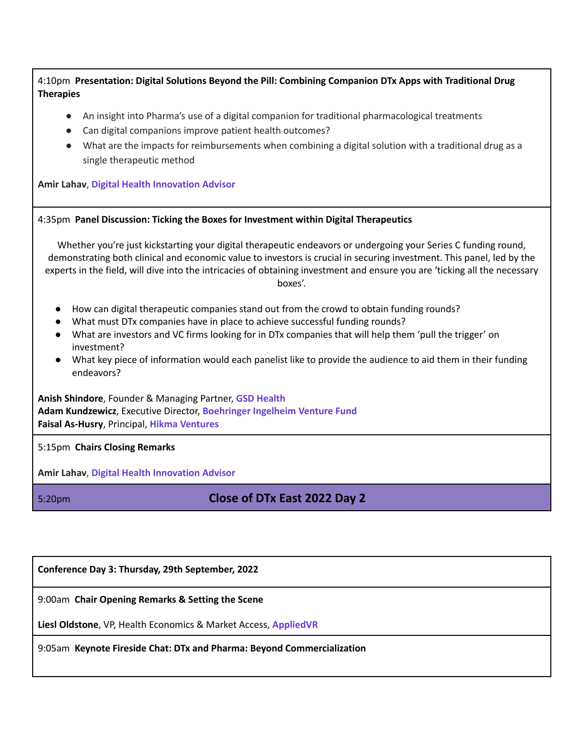|                  | 4:10pm Presentation: Digital Solutions Beyond the Pill: Combining Companion DTx Apps with Traditional Drug |
|------------------|------------------------------------------------------------------------------------------------------------|
| <b>Therapies</b> |                                                                                                            |

- An insight into Pharma's use of a digital companion for traditional pharmacological treatments
- Can digital companions improve patient health outcomes?
- What are the impacts for reimbursements when combining a digital solution with a traditional drug as a single therapeutic method

**Amir Lahav**, **Digital Health Innovation Advisor**

#### 4:35pm **Panel Discussion: Ticking the Boxes for Investment within Digital Therapeutics**

Whether you're just kickstarting your digital therapeutic endeavors or undergoing your Series C funding round, demonstrating both clinical and economic value to investors is crucial in securing investment. This panel, led by the experts in the field, will dive into the intricacies of obtaining investment and ensure you are 'ticking all the necessary boxes'.

- How can digital therapeutic companies stand out from the crowd to obtain funding rounds?
- What must DTx companies have in place to achieve successful funding rounds?
- What are investors and VC firms looking for in DTx companies that will help them 'pull the trigger' on investment?
- What key piece of information would each panelist like to provide the audience to aid them in their funding endeavors?

**Anish Shindore**, Founder & Managing Partner, **GSD Health Adam Kundzewicz**, Executive Director, **Boehringer Ingelheim Venture Fund Faisal As-Husry**, Principal, **Hikma Ventures**

5:15pm **Chairs Closing Remarks**

**Amir Lahav**, **Digital Health Innovation Advisor**

## 5:20pm **Close of DTx East 2022 Day 2**

**Conference Day 3: Thursday, 29th September, 2022**

9:00am **Chair Opening Remarks & Setting the Scene**

**Liesl Oldstone**, VP, Health Economics & Market Access, **AppliedVR**

9:05am **Keynote Fireside Chat: DTx and Pharma: Beyond Commercialization**